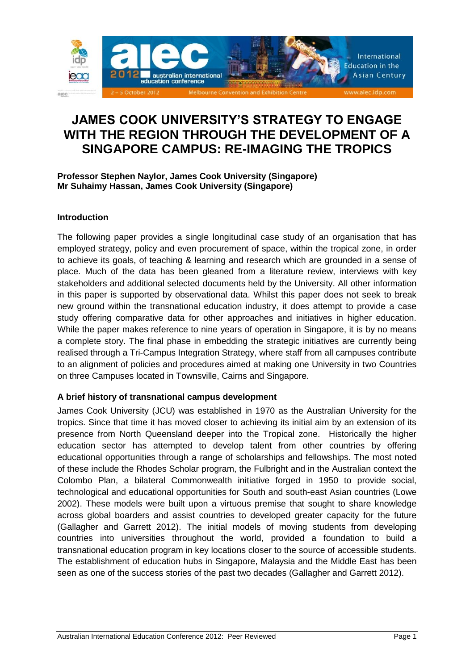

# **JAMES COOK UNIVERSITY'S STRATEGY TO ENGAGE WITH THE REGION THROUGH THE DEVELOPMENT OF A SINGAPORE CAMPUS: RE-IMAGING THE TROPICS**

## **Professor Stephen Naylor, James Cook University (Singapore) Mr Suhaimy Hassan, James Cook University (Singapore)**

## **Introduction**

The following paper provides a single longitudinal case study of an organisation that has employed strategy, policy and even procurement of space, within the tropical zone, in order to achieve its goals, of teaching & learning and research which are grounded in a sense of place. Much of the data has been gleaned from a literature review, interviews with key stakeholders and additional selected documents held by the University. All other information in this paper is supported by observational data. Whilst this paper does not seek to break new ground within the transnational education industry, it does attempt to provide a case study offering comparative data for other approaches and initiatives in higher education. While the paper makes reference to nine years of operation in Singapore, it is by no means a complete story. The final phase in embedding the strategic initiatives are currently being realised through a Tri-Campus Integration Strategy, where staff from all campuses contribute to an alignment of policies and procedures aimed at making one University in two Countries on three Campuses located in Townsville, Cairns and Singapore.

# **A brief history of transnational campus development**

James Cook University (JCU) was established in 1970 as the Australian University for the tropics. Since that time it has moved closer to achieving its initial aim by an extension of its presence from North Queensland deeper into the Tropical zone. Historically the higher education sector has attempted to develop talent from other countries by offering educational opportunities through a range of scholarships and fellowships. The most noted of these include the Rhodes Scholar program, the Fulbright and in the Australian context the Colombo Plan, a bilateral Commonwealth initiative forged in 1950 to provide social, technological and educational opportunities for South and south-east Asian countries [\(Lowe](#page-10-0)  [2002\)](#page-10-0). These models were built upon a virtuous premise that sought to share knowledge across global boarders and assist countries to developed greater capacity for the future [\(Gallagher and Garrett 2012\)](#page-10-1). The initial models of moving students from developing countries into universities throughout the world, provided a foundation to build a transnational education program in key locations closer to the source of accessible students. The establishment of education hubs in Singapore, Malaysia and the Middle East has been seen as one of the success stories of the past two decades [\(Gallagher and Garrett 2012\)](#page-10-1).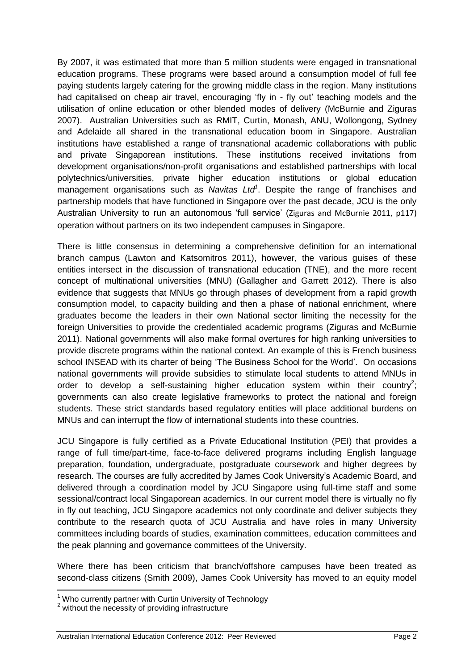By 2007, it was estimated that more than 5 million students were engaged in transnational education programs. These programs were based around a consumption model of full fee paying students largely catering for the growing middle class in the region. Many institutions had capitalised on cheap air travel, encouraging 'fly in - fly out' teaching models and the utilisation of online education or other blended modes of delivery [\(McBurnie and Ziguras](#page-11-0)  [2007\)](#page-11-0). Australian Universities such as RMIT, Curtin, Monash, ANU, Wollongong, Sydney and Adelaide all shared in the transnational education boom in Singapore. Australian institutions have established a range of transnational academic collaborations with public and private Singaporean institutions. These institutions received invitations from development organisations/non-profit organisations and established partnerships with local polytechnics/universities, private higher education institutions or global education management organisations such as *Navitas Ltd<sup>1</sup>* . Despite the range of franchises and partnership models that have functioned in Singapore over the past decade, JCU is the only Australian University to run an autonomous 'full service' (Ziguras and McBurnie 2011, p117) operation without partners on its two independent campuses in Singapore.

There is little consensus in determining a comprehensive definition for an international branch campus [\(Lawton and Katsomitros 2011\)](#page-10-2), however, the various guises of these entities intersect in the discussion of transnational education (TNE), and the more recent concept of multinational universities (MNU) [\(Gallagher and Garrett 2012\)](#page-10-1). There is also evidence that suggests that MNUs go through phases of development from a rapid growth consumption model, to capacity building and then a phase of national enrichment, where graduates become the leaders in their own National sector limiting the necessity for the foreign Universities to provide the credentialed academic programs [\(Ziguras and McBurnie](#page-11-1)  [2011\)](#page-11-1). National governments will also make formal overtures for high ranking universities to provide discrete programs within the national context. An example of this is French business school INSEAD with its charter of being 'The Business School for the World'. On occasions national governments will provide subsidies to stimulate local students to attend MNUs in order to develop a self-sustaining higher education system within their country<sup>2</sup>; governments can also create legislative frameworks to protect the national and foreign students. These strict standards based regulatory entities will place additional burdens on MNUs and can interrupt the flow of international students into these countries.

JCU Singapore is fully certified as a Private Educational Institution (PEI) that provides a range of full time/part-time, face-to-face delivered programs including English language preparation, foundation, undergraduate, postgraduate coursework and higher degrees by research. The courses are fully accredited by James Cook University's Academic Board, and delivered through a coordination model by JCU Singapore using full-time staff and some sessional/contract local Singaporean academics. In our current model there is virtually no fly in fly out teaching, JCU Singapore academics not only coordinate and deliver subjects they contribute to the research quota of JCU Australia and have roles in many University committees including boards of studies, examination committees, education committees and the peak planning and governance committees of the University.

Where there has been criticism that branch/offshore campuses have been treated as second-class citizens [\(Smith 2009\)](#page-11-2), James Cook University has moved to an equity model

**.** 

 $1$  Who currently partner with Curtin University of Technology

<sup>&</sup>lt;sup>2</sup> without the necessity of providing infrastructure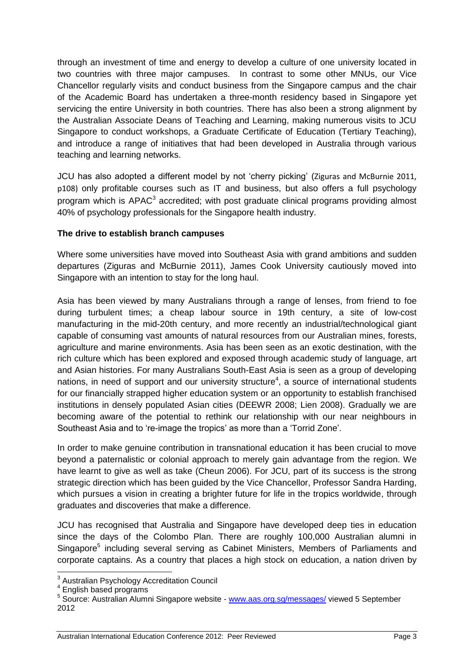through an investment of time and energy to develop a culture of one university located in two countries with three major campuses. In contrast to some other MNUs, our Vice Chancellor regularly visits and conduct business from the Singapore campus and the chair of the Academic Board has undertaken a three-month residency based in Singapore yet servicing the entire University in both countries. There has also been a strong alignment by the Australian Associate Deans of Teaching and Learning, making numerous visits to JCU Singapore to conduct workshops, a Graduate Certificate of Education (Tertiary Teaching), and introduce a range of initiatives that had been developed in Australia through various teaching and learning networks.

JCU has also adopted a different model by not 'cherry picking' (Ziguras and McBurnie 2011, p108) only profitable courses such as IT and business, but also offers a full psychology program which is APAC $3$  accredited; with post graduate clinical programs providing almost 40% of psychology professionals for the Singapore health industry.

## **The drive to establish branch campuses**

Where some universities have moved into Southeast Asia with grand ambitions and sudden departures [\(Ziguras and McBurnie 2011\)](#page-11-1), James Cook University cautiously moved into Singapore with an intention to stay for the long haul.

Asia has been viewed by many Australians through a range of lenses, from friend to foe during turbulent times; a cheap labour source in 19th century, a site of low-cost manufacturing in the mid-20th century, and more recently an industrial/technological giant capable of consuming vast amounts of natural resources from our Australian mines, forests, agriculture and marine environments. Asia has been seen as an exotic destination, with the rich culture which has been explored and exposed through academic study of language, art and Asian histories. For many Australians South-East Asia is seen as a group of developing nations, in need of support and our university structure<sup>4</sup>, a source of international students for our financially strapped higher education system or an opportunity to establish franchised institutions in densely populated Asian cities [\(DEEWR 2008;](#page-10-3) [Lien 2008\)](#page-10-4). Gradually we are becoming aware of the potential to rethink our relationship with our near neighbours in Southeast Asia and to 're-image the tropics' as more than a 'Torrid Zone'.

In order to make genuine contribution in transnational education it has been crucial to move beyond a paternalistic or colonial approach to merely gain advantage from the region. We have learnt to give as well as take [\(Cheun 2006\)](#page-10-5). For JCU, part of its success is the strong strategic direction which has been guided by the Vice Chancellor, Professor Sandra Harding, which pursues a vision in creating a brighter future for life in the tropics worldwide, through graduates and discoveries that make a difference.

JCU has recognised that Australia and Singapore have developed deep ties in education since the days of the Colombo Plan. There are roughly 100,000 Australian alumni in Singapore<sup>5</sup> including several serving as Cabinet Ministers, Members of Parliaments and corporate captains. As a country that places a high stock on education, a nation driven by

 3 Australian Psychology Accreditation Council

<sup>4</sup> English based programs

<sup>&</sup>lt;sup>5</sup> Source: Australian Alumni Singapore website - [www.aas.org.sg/messages/](http://www.aas.org.sg/messages/) viewed 5 September 2012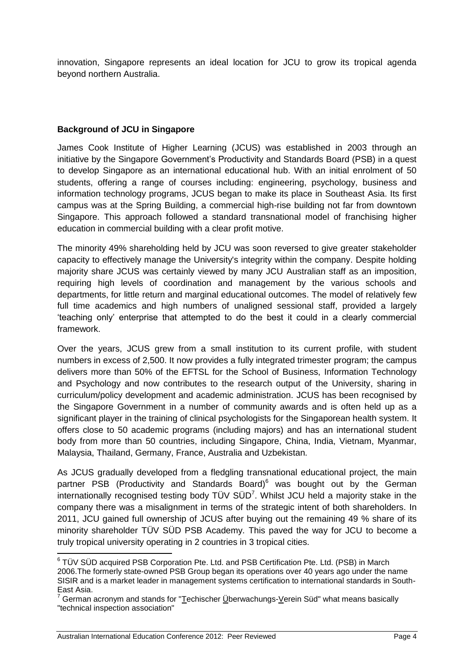innovation, Singapore represents an ideal location for JCU to grow its tropical agenda beyond northern Australia.

## **Background of JCU in Singapore**

James Cook Institute of Higher Learning (JCUS) was established in 2003 through an initiative by the Singapore Government's Productivity and Standards Board (PSB) in a quest to develop Singapore as an international educational hub. With an initial enrolment of 50 students, offering a range of courses including: engineering, psychology, business and information technology programs, JCUS began to make its place in Southeast Asia. Its first campus was at the Spring Building, a commercial high-rise building not far from downtown Singapore. This approach followed a standard transnational model of franchising higher education in commercial building with a clear profit motive.

The minority 49% shareholding held by JCU was soon reversed to give greater stakeholder capacity to effectively manage the University's integrity within the company. Despite holding majority share JCUS was certainly viewed by many JCU Australian staff as an imposition, requiring high levels of coordination and management by the various schools and departments, for little return and marginal educational outcomes. The model of relatively few full time academics and high numbers of unaligned sessional staff, provided a largely 'teaching only' enterprise that attempted to do the best it could in a clearly commercial framework.

Over the years, JCUS grew from a small institution to its current profile, with student numbers in excess of 2,500. It now provides a fully integrated trimester program; the campus delivers more than 50% of the EFTSL for the School of Business, Information Technology and Psychology and now contributes to the research output of the University, sharing in curriculum/policy development and academic administration. JCUS has been recognised by the Singapore Government in a number of community awards and is often held up as a significant player in the training of clinical psychologists for the Singaporean health system. It offers close to 50 academic programs (including majors) and has an international student body from more than 50 countries, including Singapore, China, India, Vietnam, Myanmar, Malaysia, Thailand, Germany, France, Australia and Uzbekistan.

As JCUS gradually developed from a fledgling transnational educational project, the main partner PSB (Productivity and Standards Board)<sup>6</sup> was bought out by the German internationally recognised testing body  $T\ddot{U}V S\ddot{U}D^7$ . Whilst JCU held a majority stake in the company there was a misalignment in terms of the strategic intent of both shareholders. In 2011, JCU gained full ownership of JCUS after buying out the remaining 49 % share of its minority shareholder TÜV SÜD PSB Academy. This paved the way for JCU to become a truly tropical university operating in 2 countries in 3 tropical cities.

 6 TÜV SÜD acquired PSB Corporation Pte. Ltd. and PSB Certification Pte. Ltd. (PSB) in March 2006.The formerly state-owned PSB Group began its operations over 40 years ago under the name SISIR and is a market leader in management systems certification to international standards in South-East Asia.

German acronym and stands for "Techischer Überwachungs-Verein Süd" what means basically "technical inspection association"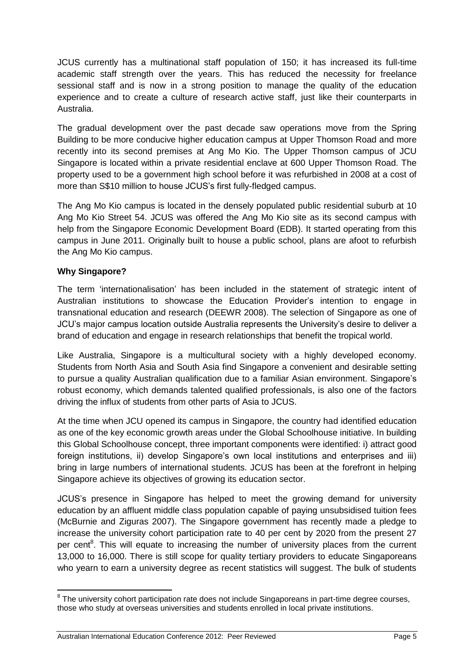JCUS currently has a multinational staff population of 150; it has increased its full-time academic staff strength over the years. This has reduced the necessity for freelance sessional staff and is now in a strong position to manage the quality of the education experience and to create a culture of research active staff, just like their counterparts in Australia.

The gradual development over the past decade saw operations move from the Spring Building to be more conducive higher education campus at Upper Thomson Road and more recently into its second premises at Ang Mo Kio. The Upper Thomson campus of JCU Singapore is located within a private residential enclave at 600 Upper Thomson Road. The property used to be a government high school before it was refurbished in 2008 at a cost of more than S\$10 million to house JCUS's first fully-fledged campus.

The Ang Mo Kio campus is located in the densely populated public residential suburb at 10 Ang Mo Kio Street 54. JCUS was offered the Ang Mo Kio site as its second campus with help from the Singapore Economic Development Board (EDB). It started operating from this campus in June 2011. Originally built to house a public school, plans are afoot to refurbish the Ang Mo Kio campus.

# **Why Singapore?**

The term 'internationalisation' has been included in the statement of strategic intent of Australian institutions to showcase the Education Provider's intention to engage in transnational education and research [\(DEEWR 2008\)](#page-10-3). The selection of Singapore as one of JCU's major campus location outside Australia represents the University's desire to deliver a brand of education and engage in research relationships that benefit the tropical world.

Like Australia, Singapore is a multicultural society with a highly developed economy. Students from North Asia and South Asia find Singapore a convenient and desirable setting to pursue a quality Australian qualification due to a familiar Asian environment. Singapore's robust economy, which demands talented qualified professionals, is also one of the factors driving the influx of students from other parts of Asia to JCUS.

At the time when JCU opened its campus in Singapore, the country had identified education as one of the key economic growth areas under the Global Schoolhouse initiative. In building this Global Schoolhouse concept, three important components were identified: i) attract good foreign institutions, ii) develop Singapore's own local institutions and enterprises and iii) bring in large numbers of international students. JCUS has been at the forefront in helping Singapore achieve its objectives of growing its education sector.

JCUS's presence in Singapore has helped to meet the growing demand for university education by an affluent middle class population capable of paying unsubsidised tuition fees [\(McBurnie and Ziguras 2007\)](#page-11-0). The Singapore government has recently made a pledge to increase the university cohort participation rate to 40 per cent by 2020 from the present 27 per cent<sup>8</sup>. This will equate to increasing the number of university places from the current 13,000 to 16,000. There is still scope for quality tertiary providers to educate Singaporeans who yearn to earn a university degree as recent statistics will suggest. The bulk of students

 8 The university cohort participation rate does not include Singaporeans in part-time degree courses, those who study at overseas universities and students enrolled in local private institutions.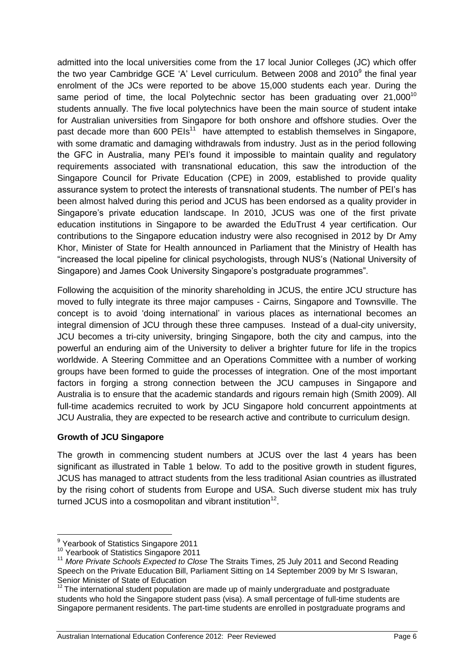admitted into the local universities come from the 17 local Junior Colleges (JC) which offer the two year Cambridge GCE 'A' Level curriculum. Between 2008 and 2010 $^9$  the final year enrolment of the JCs were reported to be above 15,000 students each year. During the same period of time, the local Polytechnic sector has been graduating over  $21,000^{10}$ students annually. The five local polytechnics have been the main source of student intake for Australian universities from Singapore for both onshore and offshore studies. Over the past decade more than  $600$  PEIs<sup>11</sup> have attempted to establish themselves in Singapore, with some dramatic and damaging withdrawals from industry. Just as in the period following the GFC in Australia, many PEI's found it impossible to maintain quality and regulatory requirements associated with transnational education, this saw the introduction of the Singapore Council for Private Education (CPE) in 2009, established to provide quality assurance system to protect the interests of transnational students. The number of PEI's has been almost halved during this period and JCUS has been endorsed as a quality provider in Singapore's private education landscape. In 2010, JCUS was one of the first private education institutions in Singapore to be awarded the EduTrust 4 year certification. Our contributions to the Singapore education industry were also recognised in 2012 by Dr Amy Khor, Minister of State for Health announced in Parliament that the Ministry of Health has "increased the local pipeline for clinical psychologists, through NUS's (National University of Singapore) and James Cook University Singapore's postgraduate programmes".

Following the acquisition of the minority shareholding in JCUS, the entire JCU structure has moved to fully integrate its three major campuses - Cairns, Singapore and Townsville. The concept is to avoid 'doing international' in various places as international becomes an integral dimension of JCU through these three campuses. Instead of a dual-city university, JCU becomes a tri-city university, bringing Singapore, both the city and campus, into the powerful an enduring aim of the University to deliver a brighter future for life in the tropics worldwide. A Steering Committee and an Operations Committee with a number of working groups have been formed to guide the processes of integration. One of the most important factors in forging a strong connection between the JCU campuses in Singapore and Australia is to ensure that the academic standards and rigours remain high [\(Smith 2009\)](#page-11-2). All full-time academics recruited to work by JCU Singapore hold concurrent appointments at JCU Australia, they are expected to be research active and contribute to curriculum design.

# **Growth of JCU Singapore**

The growth in commencing student numbers at JCUS over the last 4 years has been significant as illustrated in Table 1 below. To add to the positive growth in student figures, JCUS has managed to attract students from the less traditional Asian countries as illustrated by the rising cohort of students from Europe and USA. Such diverse student mix has truly turned JCUS into a cosmopolitan and vibrant institution<sup>12</sup>.

**.** 

<sup>&</sup>lt;sup>9</sup> Yearbook of Statistics Singapore 2011

<sup>10</sup> Yearbook of Statistics Singapore 2011

<sup>&</sup>lt;sup>11</sup> More Private Schools Expected to Close The Straits Times, 25 July 2011 and Second Reading Speech on the Private Education Bill, Parliament Sitting on 14 September 2009 by Mr S Iswaran, Senior Minister of State of Education

<sup>&</sup>lt;sup>12</sup> The international student population are made up of mainly undergraduate and postgraduate students who hold the Singapore student pass (visa). A small percentage of full-time students are Singapore permanent residents. The part-time students are enrolled in postgraduate programs and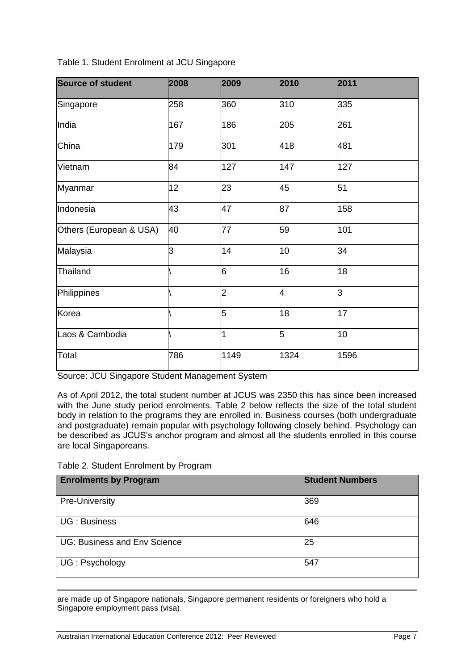| <b>Source of student</b> | 2008 | 2009           | 2010 | 2011 |
|--------------------------|------|----------------|------|------|
| Singapore                | 258  | 360            | 310  | 335  |
| India                    | 167  | 186            | 205  | 261  |
| China                    | 179  | 301            | 418  | 481  |
| Vietnam                  | 84   | 127            | 147  | 127  |
| Myanmar                  | 12   | 23             | 45   | 51   |
| Indonesia                | 43   | 47             | 87   | 158  |
| Others (European & USA)  | 40   | 77             | 59   | 101  |
| Malaysia                 | 3    | 14             | 10   | 34   |
| Thailand                 |      | 6              | 16   | 18   |
| Philippines              |      | $\overline{2}$ | 4    | 3    |
| Korea                    |      | 5              | 18   | 17   |
| Laos & Cambodia          |      | 1              | 5    | 10   |
| Total                    | 786  | 1149           | 1324 | 1596 |

Table 1. Student Enrolment at JCU Singapore

Source: JCU Singapore Student Management System

As of April 2012, the total student number at JCUS was 2350 this has since been increased with the June study period enrolments. Table 2 below reflects the size of the total student body in relation to the programs they are enrolled in. Business courses (both undergraduate and postgraduate) remain popular with psychology following closely behind. Psychology can be described as JCUS's anchor program and almost all the students enrolled in this course are local Singaporeans.

|  |  | Table 2. Student Enrolment by Program |  |  |
|--|--|---------------------------------------|--|--|
|--|--|---------------------------------------|--|--|

**.** 

| <b>Enrolments by Program</b>        | <b>Student Numbers</b> |
|-------------------------------------|------------------------|
| Pre-University                      | 369                    |
| <b>UG</b> : Business                | 646                    |
| <b>UG: Business and Env Science</b> | 25                     |
| UG: Psychology                      | 547                    |

are made up of Singapore nationals, Singapore permanent residents or foreigners who hold a Singapore employment pass (visa).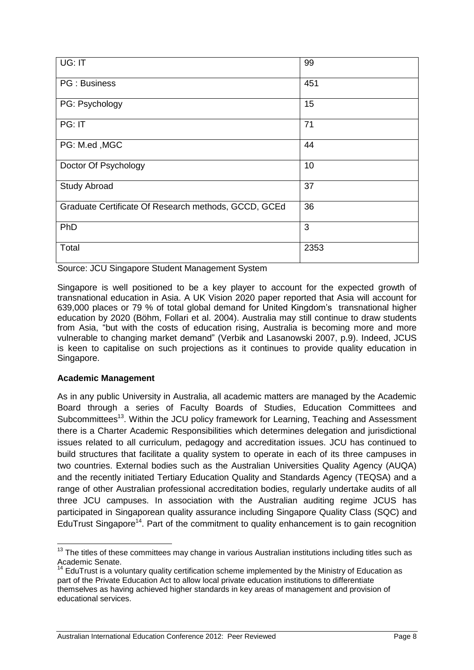| $\overline{UG:IT}$                                   | 99   |
|------------------------------------------------------|------|
| PG: Business                                         | 451  |
| PG: Psychology                                       | 15   |
| PG: IT                                               | 71   |
| PG: M.ed, MGC                                        | 44   |
| Doctor Of Psychology                                 | 10   |
| <b>Study Abroad</b>                                  | 37   |
| Graduate Certificate Of Research methods, GCCD, GCEd | 36   |
| PhD                                                  | 3    |
| Total                                                | 2353 |

Source: JCU Singapore Student Management System

Singapore is well positioned to be a key player to account for the expected growth of transnational education in Asia. A UK Vision 2020 paper reported that Asia will account for 639,000 places or 79 % of total global demand for United Kingdom's transnational higher education by 2020 [\(Böhm, Follari et al. 2004\)](#page-10-6). Australia may still continue to draw students from Asia, "but with the costs of education rising, Australia is becoming more and more vulnerable to changing market demand" (Verbik and Lasanowski 2007, p.9). Indeed, JCUS is keen to capitalise on such projections as it continues to provide quality education in Singapore.

#### **Academic Management**

**.** 

As in any public University in Australia, all academic matters are managed by the Academic Board through a series of Faculty Boards of Studies, Education Committees and Subcommittees<sup>13</sup>. Within the JCU policy framework for Learning, Teaching and Assessment there is a Charter Academic Responsibilities which determines delegation and jurisdictional issues related to all curriculum, pedagogy and accreditation issues. JCU has continued to build structures that facilitate a quality system to operate in each of its three campuses in two countries. External bodies such as the Australian Universities Quality Agency (AUQA) and the recently initiated Tertiary Education Quality and Standards Agency (TEQSA) and a range of other Australian professional accreditation bodies, regularly undertake audits of all three JCU campuses. In association with the Australian auditing regime JCUS has participated in Singaporean quality assurance including Singapore Quality Class (SQC) and EduTrust Singapore<sup>14</sup>. Part of the commitment to quality enhancement is to gain recognition

 $13$  The titles of these committees may change in various Australian institutions including titles such as Academic Senate.

 $14$  EduTrust is a voluntary quality certification scheme implemented by the Ministry of Education as part of the Private Education Act to allow local private education institutions to differentiate themselves as having achieved higher standards in key areas of management and provision of educational services.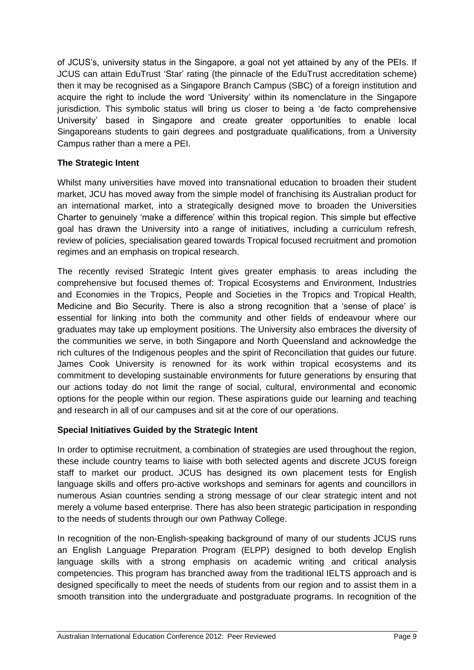of JCUS's, university status in the Singapore, a goal not yet attained by any of the PEIs. If JCUS can attain EduTrust 'Star' rating (the pinnacle of the EduTrust accreditation scheme) then it may be recognised as a Singapore Branch Campus (SBC) of a foreign institution and acquire the right to include the word 'University' within its nomenclature in the Singapore jurisdiction. This symbolic status will bring us closer to being a 'de facto comprehensive University' based in Singapore and create greater opportunities to enable local Singaporeans students to gain degrees and postgraduate qualifications, from a University Campus rather than a mere a PEI.

# **The Strategic Intent**

Whilst many universities have moved into transnational education to broaden their student market, JCU has moved away from the simple model of franchising its Australian product for an international market, into a strategically designed move to broaden the Universities Charter to genuinely 'make a difference' within this tropical region. This simple but effective goal has drawn the University into a range of initiatives, including a curriculum refresh, review of policies, specialisation geared towards Tropical focused recruitment and promotion regimes and an emphasis on tropical research.

The recently revised Strategic Intent gives greater emphasis to areas including the comprehensive but focused themes of: Tropical Ecosystems and Environment, Industries and Economies in the Tropics, People and Societies in the Tropics and Tropical Health, Medicine and Bio Security. There is also a strong recognition that a 'sense of place' is essential for linking into both the community and other fields of endeavour where our graduates may take up employment positions. The University also embraces the diversity of the communities we serve, in both Singapore and North Queensland and acknowledge the rich cultures of the Indigenous peoples and the spirit of Reconciliation that guides our future. James Cook University is renowned for its work within tropical ecosystems and its commitment to developing sustainable environments for future generations by ensuring that our actions today do not limit the range of social, cultural, environmental and economic options for the people within our region. These aspirations guide our learning and teaching and research in all of our campuses and sit at the core of our operations.

# **Special Initiatives Guided by the Strategic Intent**

In order to optimise recruitment, a combination of strategies are used throughout the region, these include country teams to liaise with both selected agents and discrete JCUS foreign staff to market our product. JCUS has designed its own placement tests for English language skills and offers pro-active workshops and seminars for agents and councillors in numerous Asian countries sending a strong message of our clear strategic intent and not merely a volume based enterprise. There has also been strategic participation in responding to the needs of students through our own Pathway College.

In recognition of the non-English-speaking background of many of our students JCUS runs an English Language Preparation Program (ELPP) designed to both develop English language skills with a strong emphasis on academic writing and critical analysis competencies. This program has branched away from the traditional IELTS approach and is designed specifically to meet the needs of students from our region and to assist them in a smooth transition into the undergraduate and postgraduate programs. In recognition of the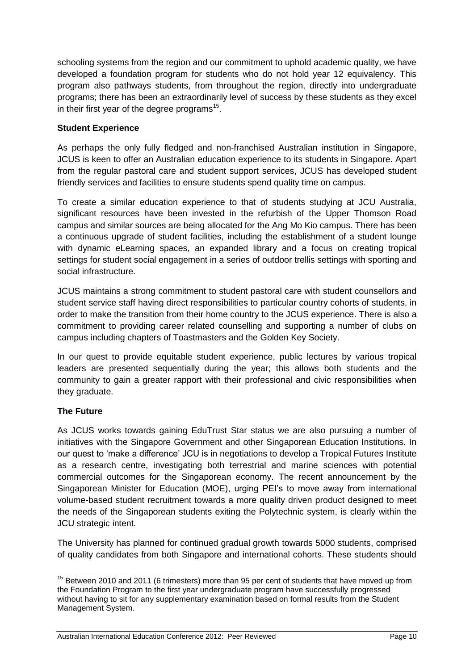schooling systems from the region and our commitment to uphold academic quality, we have developed a foundation program for students who do not hold year 12 equivalency. This program also pathways students, from throughout the region, directly into undergraduate programs; there has been an extraordinarily level of success by these students as they excel in their first year of the degree programs<sup>15</sup>.

## **Student Experience**

As perhaps the only fully fledged and non-franchised Australian institution in Singapore, JCUS is keen to offer an Australian education experience to its students in Singapore. Apart from the regular pastoral care and student support services, JCUS has developed student friendly services and facilities to ensure students spend quality time on campus.

To create a similar education experience to that of students studying at JCU Australia, significant resources have been invested in the refurbish of the Upper Thomson Road campus and similar sources are being allocated for the Ang Mo Kio campus. There has been a continuous upgrade of student facilities, including the establishment of a student lounge with dynamic eLearning spaces, an expanded library and a focus on creating tropical settings for student social engagement in a series of outdoor trellis settings with sporting and social infrastructure.

JCUS maintains a strong commitment to student pastoral care with student counsellors and student service staff having direct responsibilities to particular country cohorts of students, in order to make the transition from their home country to the JCUS experience. There is also a commitment to providing career related counselling and supporting a number of clubs on campus including chapters of Toastmasters and the Golden Key Society.

In our quest to provide equitable student experience, public lectures by various tropical leaders are presented sequentially during the year; this allows both students and the community to gain a greater rapport with their professional and civic responsibilities when they graduate.

# **The Future**

As JCUS works towards gaining EduTrust Star status we are also pursuing a number of initiatives with the Singapore Government and other Singaporean Education Institutions. In our quest to 'make a difference' JCU is in negotiations to develop a Tropical Futures Institute as a research centre, investigating both terrestrial and marine sciences with potential commercial outcomes for the Singaporean economy. The recent announcement by the Singaporean Minister for Education (MOE), urging PEI's to move away from international volume-based student recruitment towards a more quality driven product designed to meet the needs of the Singaporean students exiting the Polytechnic system, is clearly within the JCU strategic intent.

The University has planned for continued gradual growth towards 5000 students, comprised of quality candidates from both Singapore and international cohorts. These students should

**<sup>.</sup>**  $15$  Between 2010 and 2011 (6 trimesters) more than 95 per cent of students that have moved up from the Foundation Program to the first year undergraduate program have successfully progressed without having to sit for any supplementary examination based on formal results from the Student Management System.

Australian International Education Conference 2012: Peer Reviewed **Page 10** Page 10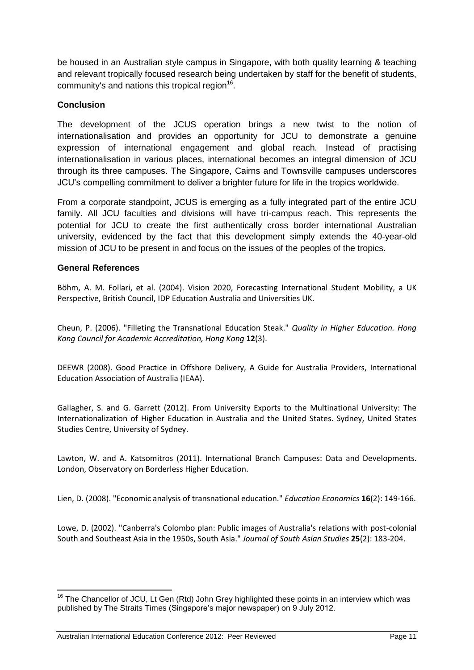be housed in an Australian style campus in Singapore, with both quality learning & teaching and relevant tropically focused research being undertaken by staff for the benefit of students, community's and nations this tropical region $^{16}$ .

## **Conclusion**

The development of the JCUS operation brings a new twist to the notion of internationalisation and provides an opportunity for JCU to demonstrate a genuine expression of international engagement and global reach. Instead of practising internationalisation in various places, international becomes an integral dimension of JCU through its three campuses. The Singapore, Cairns and Townsville campuses underscores JCU's compelling commitment to deliver a brighter future for life in the tropics worldwide.

From a corporate standpoint, JCUS is emerging as a fully integrated part of the entire JCU family. All JCU faculties and divisions will have tri-campus reach. This represents the potential for JCU to create the first authentically cross border international Australian university, evidenced by the fact that this development simply extends the 40-year-old mission of JCU to be present in and focus on the issues of the peoples of the tropics.

#### **General References**

<span id="page-10-6"></span>Böhm, A. M. Follari, et al. (2004). Vision 2020, Forecasting International Student Mobility, a UK Perspective, British Council, IDP Education Australia and Universities UK.

<span id="page-10-5"></span>Cheun, P. (2006). "Filleting the Transnational Education Steak." *Quality in Higher Education. Hong Kong Council for Academic Accreditation, Hong Kong* **12**(3).

<span id="page-10-3"></span>DEEWR (2008). Good Practice in Offshore Delivery, A Guide for Australia Providers, International Education Association of Australia (IEAA).

<span id="page-10-1"></span>Gallagher, S. and G. Garrett (2012). From University Exports to the Multinational University: The Internationalization of Higher Education in Australia and the United States. Sydney, United States Studies Centre, University of Sydney.

<span id="page-10-2"></span>Lawton, W. and A. Katsomitros (2011). International Branch Campuses: Data and Developments. London, Observatory on Borderless Higher Education.

<span id="page-10-4"></span>Lien, D. (2008). "Economic analysis of transnational education." *Education Economics* **16**(2): 149-166.

<span id="page-10-0"></span>Lowe, D. (2002). "Canberra's Colombo plan: Public images of Australia's relations with post-colonial South and Southeast Asia in the 1950s, South Asia." *Journal of South Asian Studies* **25**(2): 183-204.

**<sup>.</sup>**  $16$  The Chancellor of JCU, Lt Gen (Rtd) John Grey highlighted these points in an interview which was published by The Straits Times (Singapore's major newspaper) on 9 July 2012.